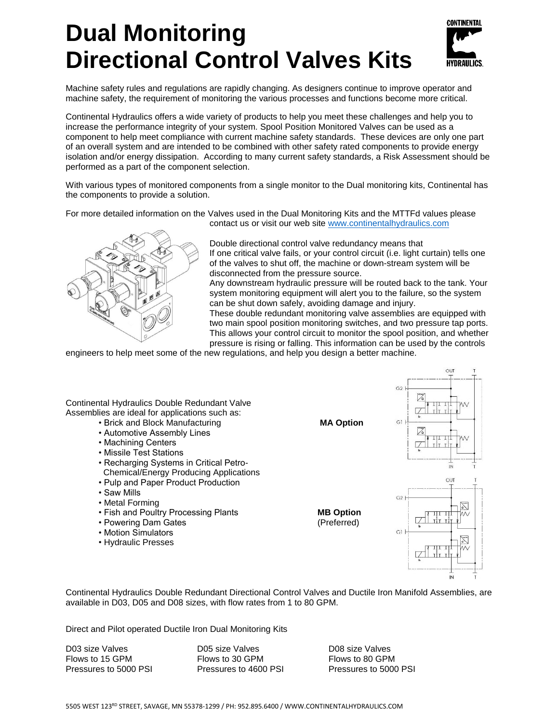# **Dual Monitoring Directional Control Valves Kits**



Machine safety rules and regulations are rapidly changing. As designers continue to improve operator and machine safety, the requirement of monitoring the various processes and functions become more critical.

Continental Hydraulics offers a wide variety of products to help you meet these challenges and help you to increase the performance integrity of your system. Spool Position Monitored Valves can be used as a component to help meet compliance with current machine safety standards. These devices are only one part of an overall system and are intended to be combined with other safety rated components to provide energy isolation and/or energy dissipation. According to many current safety standards, a Risk Assessment should be performed as a part of the component selection.

With various types of monitored components from a single monitor to the Dual monitoring kits, Continental has the components to provide a solution.

For more detailed information on the Valves used in the Dual Monitoring Kits and the MTTFd values please



contact us or visit our web site [www.continentalhydraulics.com](http://www.continentalhydraulics.com/)

Double directional control valve redundancy means that If one critical valve fails, or your control circuit (i.e. light curtain) tells one of the valves to shut off, the machine or down-stream system will be disconnected from the pressure source.

Any downstream hydraulic pressure will be routed back to the tank. Your system monitoring equipment will alert you to the failure, so the system can be shut down safely, avoiding damage and injury.

These double redundant monitoring valve assemblies are equipped with two main spool position monitoring switches, and two pressure tap ports. This allows your control circuit to monitor the spool position, and whether pressure is rising or falling. This information can be used by the controls

engineers to help meet some of the new regulations, and help you design a better machine.



Continental Hydraulics Double Redundant Directional Control Valves and Ductile Iron Manifold Assemblies, are available in D03, D05 and D08 sizes, with flow rates from 1 to 80 GPM.

Direct and Pilot operated Ductile Iron Dual Monitoring Kits

D03 size Valves D05 size Valves D08 size Valves

Flows to 15 GPM Flows to 30 GPM Flows to 80 GPM Pressures to 5000 PSI Pressures to 4600 PSI Pressures to 5000 PSI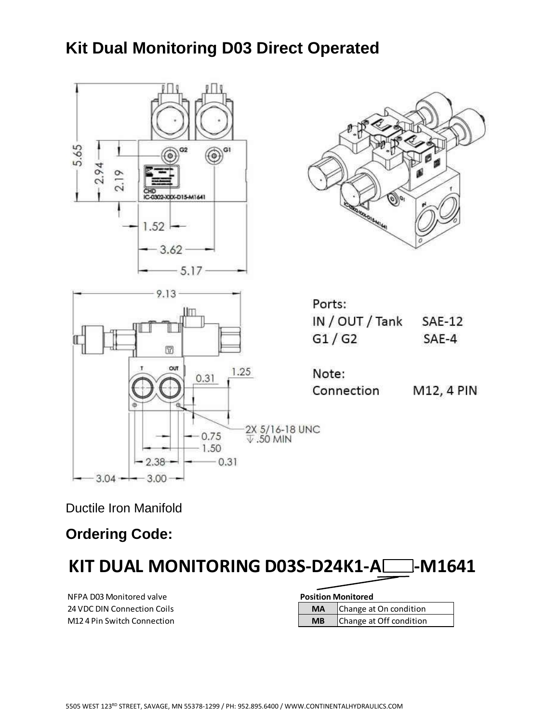## **Kit Dual Monitoring D03 Direct Operated**



Ductile Iron Manifold

**Ordering Code:**

KIT DUAL MONITORING D03S-D24K1-A<sup>-1</sup>-M1641

**NFPA D03 Monitored valve 24 VDC DIN Connection Coils M12 4 Pin Switch Connection** 

| <b>Position Monitored</b> |           |                         |  |  |
|---------------------------|-----------|-------------------------|--|--|
|                           | <b>MA</b> | Change at On condition  |  |  |
|                           | <b>MB</b> | Change at Off condition |  |  |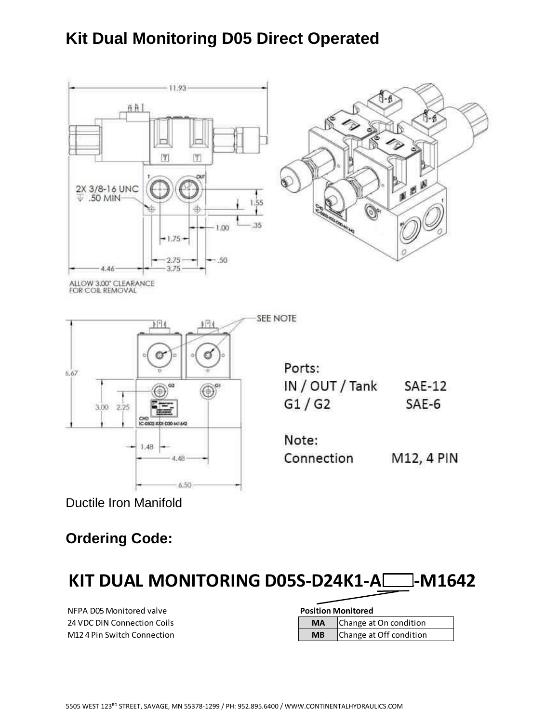## **Kit Dual Monitoring D05 Direct Operated**





Ductile Iron Manifold

#### **Ordering Code:**

|  | KIT DUAL MONITORING D05S-D24K1-ACCO-M1642 |  |  |  |
|--|-------------------------------------------|--|--|--|
|  |                                           |  |  |  |

**NFPA D05 Monitored valve 24 VDC DIN Connection Coils M12 4 Pin Switch Connection** 

| <b>Position Monitored</b> |           |                         |  |  |
|---------------------------|-----------|-------------------------|--|--|
|                           | <b>MA</b> | Change at On condition  |  |  |
|                           | <b>MB</b> | Change at Off condition |  |  |